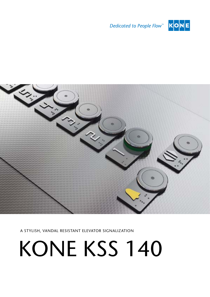





A stylish, vandal resistant elevator signalization

# KONE KSS 140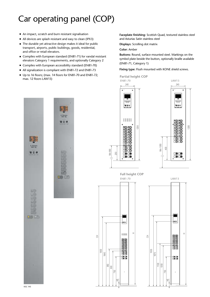## Car operating panel (COP)

- An impact, scratch and burn resistant signalisation
- All devices are splash resistant and easy to clean (IPX3)
- $\blacksquare$  The durable yet attractive design makes it ideal for public transport, airports, public buildings, goods, residential, and office or retail elevators.
- Complies with European standard (EN81-71) for vandal resistant elevators Category 1 requirements, and optionally Category 2
- Complies with European accessibility standard (EN81-70)
- All signalization is compliant with EN81-72 and EN81-73
- Up to 16 floors; (max. 14 floors for EN81-70 and EN81-72; Up to 16 floors; (max. 14 floors for EN81-70 and EN81-72;<br>max. 12 floors LAW13) **Partial height COP**

**Faceplate finishing:** Scottish Quad, textured stainless steel and Asturias Satin stainless steel

**Displays:** Scrolling dot matrix

**Color:** Amber

**Buttons:** Round, surface mounted steel. Markings on the symbol plate beside the button, optionally braille available (EN81-71, Category 1)

**Fixing type:** Flush mounted with KONE shield screws.



 $\overline{c}$ 

1800

1640



KSC 143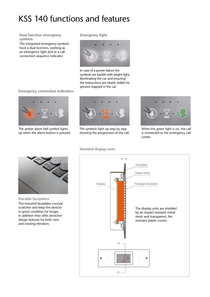### KSS 140 functions and features

**Dual function emergency symbols**

The integrated emergency symbols have a dual function, working as an emergency light and as a call connection sequence indicator.

#### **Emergency light**



In case of a power failure the symbols are backlit with bright light, illuminating the car and ensuring the instructions are clearly visible for persons trapped in the car.

#### **Emergency connection indicators**



The amber alarm bell symbol lights up when the alarm button is pressed.



The symbols light up step by step showing the progression of the call.



When the green light is on, the call is connected to the emergency call center.



**Durable faceplates**

The textured faceplates conceal scratches and keep the devices in good condition for longer. In addition they offer attractive design features for both new and existing elevators.